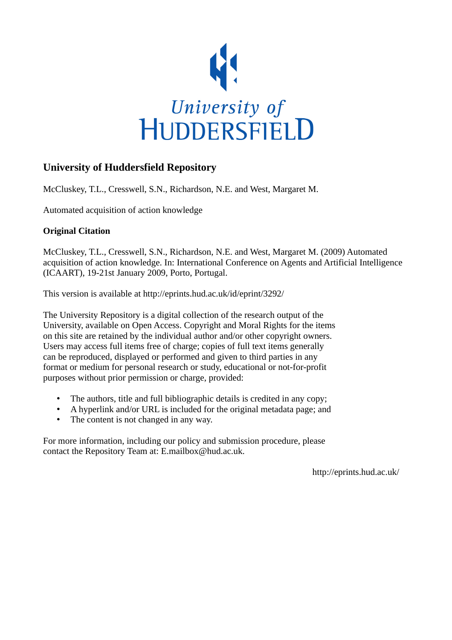

# **University of Huddersfield Repository**

McCluskey, T.L., Cresswell, S.N., Richardson, N.E. and West, Margaret M.

Automated acquisition of action knowledge

# **Original Citation**

McCluskey, T.L., Cresswell, S.N., Richardson, N.E. and West, Margaret M. (2009) Automated acquisition of action knowledge. In: International Conference on Agents and Artificial Intelligence (ICAART), 19-21st January 2009, Porto, Portugal.

This version is available at http://eprints.hud.ac.uk/id/eprint/3292/

The University Repository is a digital collection of the research output of the University, available on Open Access. Copyright and Moral Rights for the items on this site are retained by the individual author and/or other copyright owners. Users may access full items free of charge; copies of full text items generally can be reproduced, displayed or performed and given to third parties in any format or medium for personal research or study, educational or not-for-profit purposes without prior permission or charge, provided:

- The authors, title and full bibliographic details is credited in any copy;
- A hyperlink and/or URL is included for the original metadata page; and
- The content is not changed in any way.

For more information, including our policy and submission procedure, please contact the Repository Team at: E.mailbox@hud.ac.uk.

http://eprints.hud.ac.uk/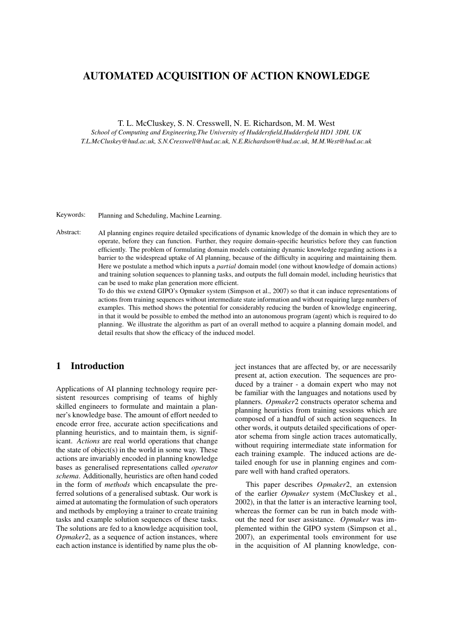# AUTOMATED ACQUISITION OF ACTION KNOWLEDGE

T. L. McCluskey, S. N. Cresswell, N. E. Richardson, M. M. West

*School of Computing and Engineering,The University of Huddersfield,Huddersfield HD1 3DH, UK T.L.McCluskey@hud.ac.uk, S.N.Cresswell@hud.ac.uk, N.E.Richardson@hud.ac.uk, M.M.West@hud.ac.uk*

Keywords: Planning and Scheduling, Machine Learning.

Abstract: AI planning engines require detailed specifications of dynamic knowledge of the domain in which they are to operate, before they can function. Further, they require domain-specific heuristics before they can function efficiently. The problem of formulating domain models containing dynamic knowledge regarding actions is a barrier to the widespread uptake of AI planning, because of the difficulty in acquiring and maintaining them. Here we postulate a method which inputs a *partial* domain model (one without knowledge of domain actions) and training solution sequences to planning tasks, and outputs the full domain model, including heuristics that can be used to make plan generation more efficient.

> To do this we extend GIPO's Opmaker system (Simpson et al., 2007) so that it can induce representations of actions from training sequences without intermediate state information and without requiring large numbers of examples. This method shows the potential for considerably reducing the burden of knowledge engineering, in that it would be possible to embed the method into an autonomous program (agent) which is required to do planning. We illustrate the algorithm as part of an overall method to acquire a planning domain model, and detail results that show the efficacy of the induced model.

### 1 Introduction

Applications of AI planning technology require persistent resources comprising of teams of highly skilled engineers to formulate and maintain a planner's knowledge base. The amount of effort needed to encode error free, accurate action specifications and planning heuristics, and to maintain them, is significant. *Actions* are real world operations that change the state of object(s) in the world in some way. These actions are invariably encoded in planning knowledge bases as generalised representations called *operator schema*. Additionally, heuristics are often hand coded in the form of *methods* which encapsulate the preferred solutions of a generalised subtask. Our work is aimed at automating the formulation of such operators and methods by employing a trainer to create training tasks and example solution sequences of these tasks. The solutions are fed to a knowledge acquisition tool, *Opmaker*2, as a sequence of action instances, where each action instance is identified by name plus the object instances that are affected by, or are necessarily present at, action execution. The sequences are produced by a trainer - a domain expert who may not be familiar with the languages and notations used by planners. *Opmaker*2 constructs operator schema and planning heuristics from training sessions which are composed of a handful of such action sequences. In other words, it outputs detailed specifications of operator schema from single action traces automatically, without requiring intermediate state information for each training example. The induced actions are detailed enough for use in planning engines and compare well with hand crafted operators.

This paper describes *Opmaker*2, an extension of the earlier *Opmaker* system (McCluskey et al., 2002), in that the latter is an interactive learning tool, whereas the former can be run in batch mode without the need for user assistance. *Opmaker* was implemented within the GIPO system (Simpson et al., 2007), an experimental tools environment for use in the acquisition of AI planning knowledge, con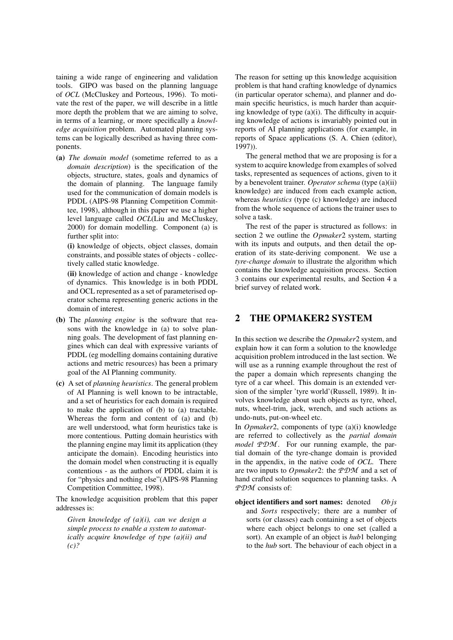taining a wide range of engineering and validation tools. GIPO was based on the planning language of *OCL* (McCluskey and Porteous, 1996). To motivate the rest of the paper, we will describe in a little more depth the problem that we are aiming to solve, in terms of a learning, or more specifically a *knowledge acquisition* problem. Automated planning systems can be logically described as having three components.

(a) *The domain model* (sometime referred to as a *domain description*) is the specification of the objects, structure, states, goals and dynamics of the domain of planning. The language family used for the communication of domain models is PDDL (AIPS-98 Planning Competition Committee, 1998), although in this paper we use a higher level language called *OCL*(Liu and McCluskey, 2000) for domain modelling. Component (a) is further split into:

(i) knowledge of objects, object classes, domain constraints, and possible states of objects - collectively called static knowledge.

(ii) knowledge of action and change - knowledge of dynamics. This knowledge is in both PDDL and OCL represented as a set of parameterised operator schema representing generic actions in the domain of interest.

- (b) The *planning engine* is the software that reasons with the knowledge in (a) to solve planning goals. The development of fast planning engines which can deal with expressive variants of PDDL (eg modelling domains containing durative actions and metric resources) has been a primary goal of the AI Planning community.
- (c) A set of *planning heuristics*. The general problem of AI Planning is well known to be intractable, and a set of heuristics for each domain is required to make the application of (b) to (a) tractable. Whereas the form and content of (a) and (b) are well understood, what form heuristics take is more contentious. Putting domain heuristics with the planning engine may limit its application (they anticipate the domain). Encoding heuristics into the domain model when constructing it is equally contentious - as the authors of PDDL claim it is for "physics and nothing else"(AIPS-98 Planning Competition Committee, 1998).

The knowledge acquisition problem that this paper addresses is:

*Given knowledge of (a)(i), can we design a simple process to enable a system to automatically acquire knowledge of type (a)(ii) and (c)?*

The reason for setting up this knowledge acquisition problem is that hand crafting knowledge of dynamics (in particular operator schema), and planner and domain specific heuristics, is much harder than acquiring knowledge of type (a)(i). The difficulty in acquiring knowledge of actions is invariably pointed out in reports of AI planning applications (for example, in reports of Space applications (S. A. Chien (editor), 1997)).

The general method that we are proposing is for a system to acquire knowledge from examples of solved tasks, represented as sequences of actions, given to it by a benevolent trainer. *Operator schema* (type (a)(ii) knowledge) are induced from each example action, whereas *heuristics* (type (c) knowledge) are induced from the whole sequence of actions the trainer uses to solve a task.

The rest of the paper is structured as follows: in section 2 we outline the *Opmaker*2 system, starting with its inputs and outputs, and then detail the operation of its state-deriving component. We use a *tyre-change domain* to illustrate the algorithm which contains the knowledge acquisition process. Section 3 contains our experimental results, and Section 4 a brief survey of related work.

### 2 THE OPMAKER2 SYSTEM

In this section we describe the *Opmaker*2 system, and explain how it can form a solution to the knowledge acquisition problem introduced in the last section. We will use as a running example throughout the rest of the paper a domain which represents changing the tyre of a car wheel. This domain is an extended version of the simpler 'tyre world'(Russell, 1989). It involves knowledge about such objects as tyre, wheel, nuts, wheel-trim, jack, wrench, and such actions as undo-nuts, put-on-wheel etc.

In *Opmaker*2, components of type (a)(i) knowledge are referred to collectively as the *partial domain model PDM*. For our running example, the partial domain of the tyre-change domain is provided in the appendix, in the native code of *OCL*. There are two inputs to *Opmaker*2: the *P DM* and a set of hand crafted solution sequences to planning tasks. A *P DM* consists of:

object identifiers and sort names: denoted *Ob js* and *Sorts* respectively; there are a number of sorts (or classes) each containing a set of objects where each object belongs to one set (called a sort). An example of an object is *hub*1 belonging to the *hub* sort. The behaviour of each object in a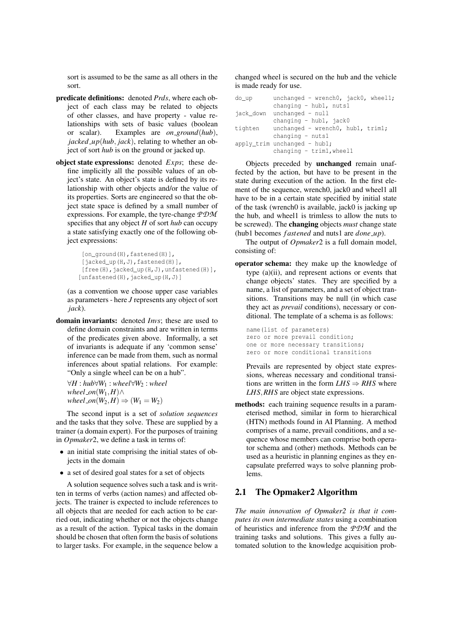sort is assumed to be the same as all others in the sort.

- predicate definitions: denoted *Prds*, where each object of each class may be related to objects of other classes, and have property - value relationships with sets of basic values (boolean or scalar). Examples are *on ground*(*hub*), *jacked up*(*hub*, *jack*), relating to whether an object of sort *hub* is on the ground or jacked up.
- object state expressions: denoted *Exps*; these define implicitly all the possible values of an object's state. An object's state is defined by its relationship with other objects and/or the value of its properties. Sorts are engineered so that the object state space is defined by a small number of expressions. For example, the tyre-change *P DM* specifies that any object *H* of sort *hub* can occupy a state satisfying exactly one of the following object expressions:

```
[on_ground(H),fastened(H)],
 [jacked_up(H,J),fastened(H)],
 [free(H),jacked_up(H,J),unfastened(H)],
[unfastened(H), jacked_up(H, J)]
```
(as a convention we choose upper case variables as parameters - here *J* represents any object of sort *jack*).

domain invariants: denoted *Invs*; these are used to define domain constraints and are written in terms of the predicates given above. Informally, a set of invariants is adequate if any 'common sense' inference can be made from them, such as normal inferences about spatial relations. For example: "Only a single wheel can be on a hub".

 $\forall H : hub\forall W_1 : wheel\forall W_2 : wheel$ *wheel\_on*( $W_1$ *,H*)∧  $wheel\_on(W_2,H) \Rightarrow (W_1 = W_2)$ 

The second input is a set of *solution sequences* and the tasks that they solve. These are supplied by a trainer (a domain expert). For the purposes of training in *Opmaker*2, we define a task in terms of:

- an initial state comprising the initial states of objects in the domain
- a set of desired goal states for a set of objects

A solution sequence solves such a task and is written in terms of verbs (action names) and affected objects. The trainer is expected to include references to all objects that are needed for each action to be carried out, indicating whether or not the objects change as a result of the action. Typical tasks in the domain should be chosen that often form the basis of solutions to larger tasks. For example, in the sequence below a changed wheel is secured on the hub and the vehicle is made ready for use.

| do_up | unchanged - wrench0, jack0, wheel1;       |  |
|-------|-------------------------------------------|--|
|       | changing $-$ hub1, nuts1                  |  |
|       | jack_down unchanged - null                |  |
|       | changing - hub1, $iack0$                  |  |
|       | tighten unchanged - wrench0, hub1, trim1; |  |
|       | changing $-$ nuts1                        |  |
|       | $apply_tim$ unchanged - hub1;             |  |
|       | changing $-$ trim1, wheel1                |  |

Objects preceded by unchanged remain unaffected by the action, but have to be present in the state during execution of the action. In the first element of the sequence, wrench0, jack0 and wheel1 all have to be in a certain state specified by initial state of the task (wrench0 is available, jack0 is jacking up the hub, and wheel1 is trimless to allow the nuts to be screwed). The changing objects *must* change state (hub1 becomes *f astened* and nuts1 are *done up*).

The output of *Opmaker*2 is a full domain model, consisting of:

operator schema: they make up the knowledge of type (a)(ii), and represent actions or events that change objects' states. They are specified by a name, a list of parameters, and a set of object transitions. Transitions may be null (in which case they act as *prevail* conditions), necessary or conditional. The template of a schema is as follows:

name(list of parameters) zero or more prevail condition; one or more necessary transitions; zero or more conditional transitions

Prevails are represented by object state expressions, whereas necessary and conditional transitions are written in the form  $LHS \Rightarrow RHS$  where *LHS*,*RHS* are object state expressions.

methods: each training sequence results in a parameterised method, similar in form to hierarchical (HTN) methods found in AI Planning. A method comprises of a name, prevail conditions, and a sequence whose members can comprise both operator schema and (other) methods. Methods can be used as a heuristic in planning engines as they encapsulate preferred ways to solve planning problems.

### 2.1 The Opmaker2 Algorithm

*The main innovation of Opmaker2 is that it computes its own intermediate states* using a combination of heuristics and inference from the *P DM* and the training tasks and solutions. This gives a fully automated solution to the knowledge acquisition prob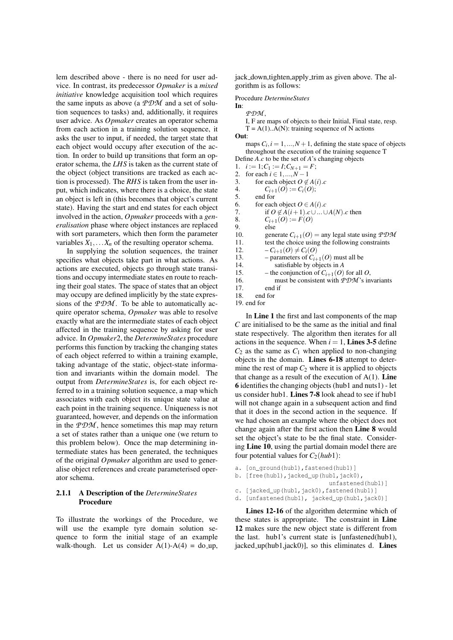lem described above - there is no need for user advice. In contrast, its predecessor *Opmaker* is a *mixed initiative* knowledge acquisition tool which requires the same inputs as above (a *P DM* and a set of solution sequences to tasks) and, additionally, it requires user advice. As *Opmaker* creates an operator schema from each action in a training solution sequence, it asks the user to input, if needed, the target state that each object would occupy after execution of the action. In order to build up transitions that form an operator schema, the *LHS* is taken as the current state of the object (object transitions are tracked as each action is processed). The *RHS* is taken from the user input, which indicates, where there is a choice, the state an object is left in (this becomes that object's current state). Having the start and end states for each object involved in the action, *Opmaker* proceeds with a *generalisation* phase where object instances are replaced with sort parameters, which then form the parameter variables  $X_1, \ldots, X_n$  of the resulting operator schema.

In supplying the solution sequences, the trainer specifies what objects take part in what actions. As actions are executed, objects go through state transitions and occupy intermediate states en route to reaching their goal states. The space of states that an object may occupy are defined implicitly by the state expressions of the  $PDM$ . To be able to automatically acquire operator schema, *Opmaker* was able to resolve exactly what are the intermediate states of each object affected in the training sequence by asking for user advice. In *Opmaker*2, the *DetermineStates* procedure performs this function by tracking the changing states of each object referred to within a training example, taking advantage of the static, object-state information and invariants within the domain model. The output from *DetermineStates* is, for each object referred to in a training solution sequence, a map which associates with each object its unique state value at each point in the training sequence. Uniqueness is not guaranteed, however, and depends on the information in the  $PDM$ , hence sometimes this map may return a set of states rather than a unique one (we return to this problem below). Once the map determining intermediate states has been generated, the techniques of the original *Opmaker* algorithm are used to generalise object references and create parameterised operator schema.

#### 2.1.1 A Description of the *DetermineStates* Procedure

To illustrate the workings of the Procedure, we will use the example tyre domain solution sequence to form the initial stage of an example walk-though. Let us consider  $A(1)$ - $A(4) =$  do up,

jack down,tighten,apply trim as given above. The algorithm is as follows:

Procedure *DetermineStates*

In:  $P \mathcal{D} \mathcal{M}$ 

I, F are maps of objects to their Initial, Final state, resp.

 $T = A(1) \dots A(N)$ : training sequence of N actions

Out:

maps  $C_i$ ,  $i = 1, ..., N + 1$ , defining the state space of objects throughout the execution of the training sequence T

Define *A*.*c* to be the set of *A*'s changing objects

1.  $i := 1; C_1 := I; C_{N+1} = F;$ <br>2. for each  $i \in 1, ..., N-1$ 

for each  $i \in 1, ..., N - 1$ 

3. for each object  $O \notin A(i)$ .*c* 

4.  $C_{i+1}(O) := C_i(O);$ <br>5. end for

5. end for

- 6. for each object  $O \in A(i).c$ <br>7 if  $O \notin A(i+1).c \cup ... \cup$ 
	- if *O* ∉ *A*( $i+1$ ).*c*∪...∪*A*(*N*).*c* then

8.  $C_{i+1}(O) := F(O)$ <br>9. else

else

10. generate  $C_{i+1}(O)$  = any legal state using  $POM$ <br>11 test the choice using the following constraints

- test the choice using the following constraints
- 12.  $-C_{i+1}(O) \neq C_i(O)$ <br>13. parameters of  $C_{i+1}(O)$

13. – parameters of  $C_{i+1}(O)$  must all be 14.

14. satisfiable by objects in *A*<br>15. – the conjunction of  $C_{i+1}(0)$ 

15. – the conjunction of  $C_{i+1}(O)$  for all *O*,<br>16 must be consistent with  $POM$ 's in

16. must be consistent with  $\mathcal{PDM}$ 's invariants 17. end if

18. end for

19. end for

In Line 1 the first and last components of the map *C* are initialised to be the same as the initial and final state respectively. The algorithm then iterates for all actions in the sequence. When  $i = 1$ , **Lines 3-5** define  $C_2$  as the same as  $C_1$  when applied to non-changing objects in the domain. Lines 6-18 attempt to determine the rest of map  $C_2$  where it is applied to objects that change as a result of the execution of  $A(1)$ . Line 6 identifies the changing objects (hub1 and nuts1) - let us consider hub1. Lines 7-8 look ahead to see if hub1 will not change again in a subsequent action and find that it does in the second action in the sequence. If we had chosen an example where the object does not change again after the first action then Line 8 would set the object's state to be the final state. Considering Line 10, using the partial domain model there are four potential values for  $C_2(hub1)$ :

- a. [on\_ground(hub1), fastened(hub1)]
- b. [free(hub1), jacked\_up(hub1, jack0),

unfastened(hub1)]

- c. [jacked\_up(hub1,jack0),fastened(hub1)]
- d. [unfastened(hub1), jacked\_up(hub1,jack0)]

Lines 12-16 of the algorithm determine which of these states is appropriate. The constraint in Line 12 makes sure the new object state is different from the last. hub1's current state is [unfastened(hub1), jacked up(hub1,jack0)], so this eliminates d. Lines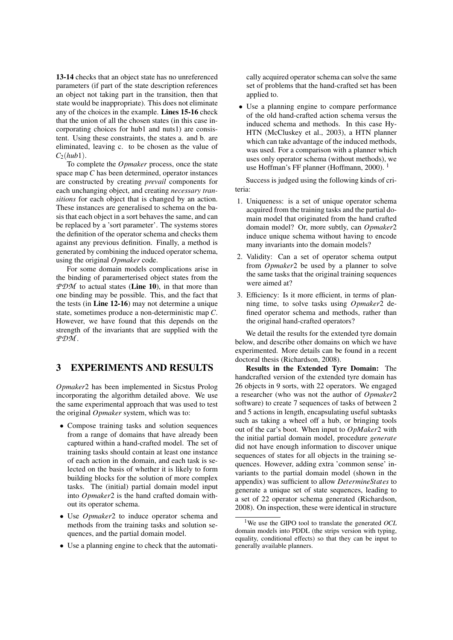13-14 checks that an object state has no unreferenced parameters (if part of the state description references an object not taking part in the transition, then that state would be inappropriate). This does not eliminate any of the choices in the example. Lines 15-16 check that the union of all the chosen states (in this case incorporating choices for hub1 and nuts1) are consistent. Using these constraints, the states a. and b. are eliminated, leaving c. to be chosen as the value of  $C_2(hub1)$ .

To complete the *Opmaker* process, once the state space map *C* has been determined, operator instances are constructed by creating *prevail* components for each unchanging object, and creating *necessary transitions* for each object that is changed by an action. These instances are generalised to schema on the basis that each object in a sort behaves the same, and can be replaced by a 'sort parameter'. The systems stores the definition of the operator schema and checks them against any previous definition. Finally, a method is generated by combining the induced operator schema, using the original *Opmaker* code.

For some domain models complications arise in the binding of paramerterised object states from the PDM to actual states (Line 10), in that more than one binding may be possible. This, and the fact that the tests (in Line 12-16) may not determine a unique state, sometimes produce a non-deterministic map *C*. However, we have found that this depends on the strength of the invariants that are supplied with the *P DM* .

### 3 EXPERIMENTS AND RESULTS

*Opmaker*2 has been implemented in Sicstus Prolog incorporating the algorithm detailed above. We use the same experimental approach that was used to test the original *Opmaker* system, which was to:

- Compose training tasks and solution sequences from a range of domains that have already been captured within a hand-crafted model. The set of training tasks should contain at least one instance of each action in the domain, and each task is selected on the basis of whether it is likely to form building blocks for the solution of more complex tasks. The (initial) partial domain model input into *Opmaker*2 is the hand crafted domain without its operator schema.
- Use *Opmaker*2 to induce operator schema and methods from the training tasks and solution sequences, and the partial domain model.
- Use a planning engine to check that the automati-

cally acquired operator schema can solve the same set of problems that the hand-crafted set has been applied to.

• Use a planning engine to compare performance of the old hand-crafted action schema versus the induced schema and methods. In this case Hy-HTN (McCluskey et al., 2003), a HTN planner which can take advantage of the induced methods, was used. For a comparison with a planner which uses only operator schema (without methods), we use Hoffman's FF planner (Hoffmann, 2000).<sup>1</sup>

Success is judged using the following kinds of criteria:

- 1. Uniqueness: is a set of unique operator schema acquired from the training tasks and the partial domain model that originated from the hand crafted domain model? Or, more subtly, can *Opmaker*2 induce unique schema without having to encode many invariants into the domain models?
- 2. Validity: Can a set of operator schema output from *Opmaker*2 be used by a planner to solve the same tasks that the original training sequences were aimed at?
- 3. Efficiency: Is it more efficient, in terms of planning time, to solve tasks using *Opmaker*2 defined operator schema and methods, rather than the original hand-crafted operators?

We detail the results for the extended tyre domain below, and describe other domains on which we have experimented. More details can be found in a recent doctoral thesis (Richardson, 2008).

Results in the Extended Tyre Domain: The handcrafted version of the extended tyre domain has 26 objects in 9 sorts, with 22 operators. We engaged a researcher (who was not the author of *Opmaker*2 software) to create 7 sequences of tasks of between 2 and 5 actions in length, encapsulating useful subtasks such as taking a wheel off a hub, or bringing tools out of the car's boot. When input to *OpMaker*2 with the initial partial domain model, procedure *generate* did not have enough information to discover unique sequences of states for all objects in the training sequences. However, adding extra 'common sense' invariants to the partial domain model (shown in the appendix) was sufficient to allow *DetermineStates* to generate a unique set of state sequences, leading to a set of 22 operator schema generated (Richardson, 2008). On inspection, these were identical in structure

<sup>1</sup>We use the GIPO tool to translate the generated *OCL* domain models into PDDL (the strips version with typing, equality, conditional effects) so that they can be input to generally available planners.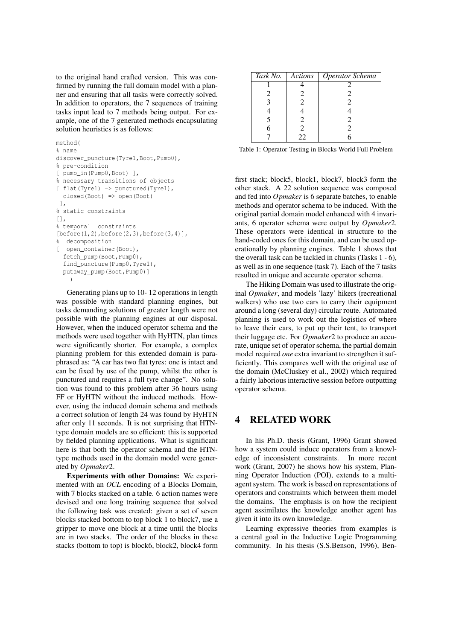to the original hand crafted version. This was confirmed by running the full domain model with a planner and ensuring that all tasks were correctly solved. In addition to operators, the 7 sequences of training tasks input lead to 7 methods being output. For example, one of the 7 generated methods encapsulating solution heuristics is as follows:

```
method(
% name
discover puncture(Tyre1, Boot, Pump0),
% pre-condition
[ pump_in(Pump0,Boot) ],
% necessary transitions of objects
\int flat(Tyre1) => punctured(Tyre1),
  closed(Boot) => open(Boot)
],
% static constraints
[],
% temporal constraints
[before(1,2), before(2,3), before(3,4)]% decomposition
[ open_container(Boot),
  fetch_pump(Boot,Pump0),
  find puncture(Pump0,Tyre1),
  putaway_pump(Boot,Pump0)]
    )
```
Generating plans up to 10- 12 operations in length was possible with standard planning engines, but tasks demanding solutions of greater length were not possible with the planning engines at our disposal. However, when the induced operator schema and the methods were used together with HyHTN, plan times were significantly shorter. For example, a complex planning problem for this extended domain is paraphrased as: "A car has two flat tyres: one is intact and can be fixed by use of the pump, whilst the other is punctured and requires a full tyre change". No solution was found to this problem after 36 hours using FF or HyHTN without the induced methods. However, using the induced domain schema and methods a correct solution of length 24 was found by HyHTN after only 11 seconds. It is not surprising that HTNtype domain models are so efficient: this is supported by fielded planning applications. What is significant here is that both the operator schema and the HTNtype methods used in the domain model were generated by *Opmaker*2.

Experiments with other Domains: We experimented with an *OCL* encoding of a Blocks Domain, with 7 blocks stacked on a table. 6 action names were devised and one long training sequence that solved the following task was created: given a set of seven blocks stacked bottom to top block 1 to block7, use a gripper to move one block at a time until the blocks are in two stacks. The order of the blocks in these stacks (bottom to top) is block6, block2, block4 form

| Task No.   Actions |                             | $\vert$ Operator Schema |
|--------------------|-----------------------------|-------------------------|
|                    |                             |                         |
|                    | $\mathcal{D}_{\mathcal{A}}$ |                         |
|                    | $\mathcal{D}_{\cdot}$       |                         |
|                    |                             |                         |
|                    | 2                           |                         |
|                    | $\mathcal{D}_{\cdot}$       | 2                       |
|                    | フフ                          |                         |

Table 1: Operator Testing in Blocks World Full Problem

first stack; block5, block1, block7, block3 form the other stack. A 22 solution sequence was composed and fed into *Opmaker* is 6 separate batches, to enable methods and operator schema to be induced. With the original partial domain model enhanced with 4 invariants, 6 operator schema were output by *Opmaker*2. These operators were identical in structure to the hand-coded ones for this domain, and can be used operationally by planning engines. Table 1 shows that the overall task can be tackled in chunks (Tasks 1 - 6), as well as in one sequence (task 7). Each of the 7 tasks resulted in unique and accurate operator schema.

The Hiking Domain was used to illustrate the original *Opmaker*, and models 'lazy' hikers (recreational walkers) who use two cars to carry their equipment around a long (several day) circular route. Automated planning is used to work out the logistics of where to leave their cars, to put up their tent, to transport their luggage etc. For *Opmaker*2 to produce an accurate, unique set of operator schema, the partial domain model required *one* extra invariant to strengthen it sufficiently. This compares well with the original use of the domain (McCluskey et al., 2002) which required a fairly laborious interactive session before outputting operator schema.

### 4 RELATED WORK

In his Ph.D. thesis (Grant, 1996) Grant showed how a system could induce operators from a knowledge of inconsistent constraints. In more recent work (Grant, 2007) he shows how his system, Planning Operator Induction (POI), extends to a multiagent system. The work is based on representations of operators and constraints which between them model the domains. The emphasis is on how the recipient agent assimilates the knowledge another agent has given it into its own knowledge.

Learning expressive theories from examples is a central goal in the Inductive Logic Programming community. In his thesis (S.S.Benson, 1996), Ben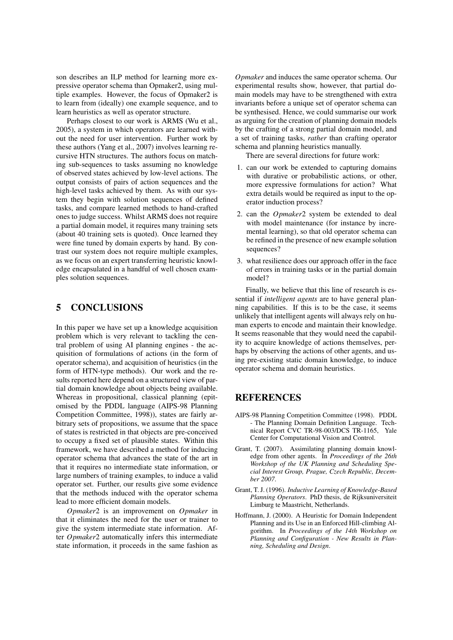son describes an ILP method for learning more expressive operator schema than Opmaker2, using multiple examples. However, the focus of Opmaker2 is to learn from (ideally) one example sequence, and to learn heuristics as well as operator structure.

Perhaps closest to our work is ARMS (Wu et al., 2005), a system in which operators are learned without the need for user intervention. Further work by these authors (Yang et al., 2007) involves learning recursive HTN structures. The authors focus on matching sub-sequences to tasks assuming no knowledge of observed states achieved by low-level actions. The output consists of pairs of action sequences and the high-level tasks achieved by them. As with our system they begin with solution sequences of defined tasks, and compare learned methods to hand-crafted ones to judge success. Whilst ARMS does not require a partial domain model, it requires many training sets (about 40 training sets is quoted). Once learned they were fine tuned by domain experts by hand. By contrast our system does not require multiple examples, as we focus on an expert transferring heuristic knowledge encapsulated in a handful of well chosen examples solution sequences.

### 5 CONCLUSIONS

In this paper we have set up a knowledge acquisition problem which is very relevant to tackling the central problem of using AI planning engines - the acquisition of formulations of actions (in the form of operator schema), and acquisition of heuristics (in the form of HTN-type methods). Our work and the results reported here depend on a structured view of partial domain knowledge about objects being available. Whereas in propositional, classical planning (epitomised by the PDDL language (AIPS-98 Planning Competition Committee, 1998)), states are fairly arbitrary sets of propositions, we assume that the space of states is restricted in that objects are pre-conceived to occupy a fixed set of plausible states. Within this framework, we have described a method for inducing operator schema that advances the state of the art in that it requires no intermediate state information, or large numbers of training examples, to induce a valid operator set. Further, our results give some evidence that the methods induced with the operator schema lead to more efficient domain models.

*Opmaker*2 is an improvement on *Opmaker* in that it eliminates the need for the user or trainer to give the system intermediate state information. After *Opmaker*2 automatically infers this intermediate state information, it proceeds in the same fashion as

*Opmaker* and induces the same operator schema. Our experimental results show, however, that partial domain models may have to be strengthened with extra invariants before a unique set of operator schema can be synthesised. Hence, we could summarise our work as arguing for the creation of planning domain models by the crafting of a strong partial domain model, and a set of training tasks, *rather* than crafting operator schema and planning heuristics manually.

There are several directions for future work:

- 1. can our work be extended to capturing domains with durative or probabilistic actions, or other, more expressive formulations for action? What extra details would be required as input to the operator induction process?
- 2. can the *Opmaker*2 system be extended to deal with model maintenance (for instance by incremental learning), so that old operator schema can be refined in the presence of new example solution sequences?
- 3. what resilience does our approach offer in the face of errors in training tasks or in the partial domain model?

Finally, we believe that this line of research is essential if *intelligent agents* are to have general planning capabilities. If this is to be the case, it seems unlikely that intelligent agents will always rely on human experts to encode and maintain their knowledge. It seems reasonable that they would need the capability to acquire knowledge of actions themselves, perhaps by observing the actions of other agents, and using pre-existing static domain knowledge, to induce operator schema and domain heuristics.

# **REFERENCES**

- AIPS-98 Planning Competition Committee (1998). PDDL - The Planning Domain Definition Language. Technical Report CVC TR-98-003/DCS TR-1165, Yale Center for Computational Vision and Control.
- Grant, T. (2007). Assimilating planning domain knowledge from other agents. In *Proceedings of the 26th Workshop of the UK Planning and Scheduling Special Interest Group, Prague, Czech Republic, December 2007*.
- Grant, T. J. (1996). *Inductive Learning of Knowledge-Based Planning Operators*. PhD thesis, de Rijksuniversiteit Limburg te Maastricht, Netherlands.
- Hoffmann, J. (2000). A Heuristic for Domain Independent Planning and its Use in an Enforced Hill-climbing Algorithm. In *Proceedings of the 14th Workshop on Planning and Configuration - New Results in Planning, Scheduling and Design*.